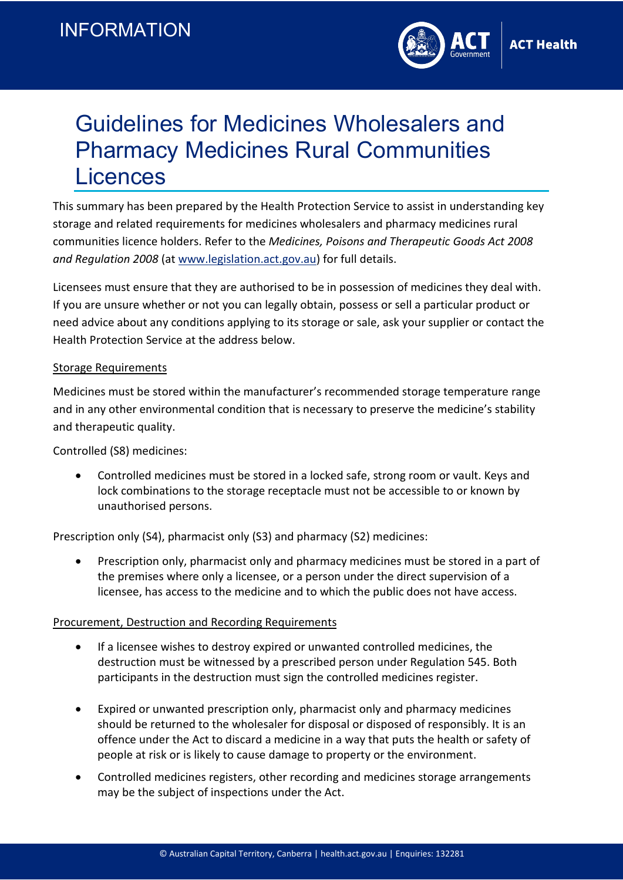

# Guidelines for Medicines Wholesalers and Pharmacy Medicines Rural Communities **Licences**

This summary has been prepared by the Health Protection Service to assist in understanding key storage and related requirements for medicines wholesalers and pharmacy medicines rural communities licence holders. Refer to the *Medicines, Poisons and Therapeutic Goods Act 2008 and Regulation 2008* (at [www.legislation.act.gov.au\)](http://www.legislation.act.gov.au/) for full details.

Licensees must ensure that they are authorised to be in possession of medicines they deal with. If you are unsure whether or not you can legally obtain, possess or sell a particular product or need advice about any conditions applying to its storage or sale, ask your supplier or contact the Health Protection Service at the address below.

## Storage Requirements

Medicines must be stored within the manufacturer's recommended storage temperature range and in any other environmental condition that is necessary to preserve the medicine's stability and therapeutic quality.

Controlled (S8) medicines:

• Controlled medicines must be stored in a locked safe, strong room or vault. Keys and lock combinations to the storage receptacle must not be accessible to or known by unauthorised persons.

Prescription only (S4), pharmacist only (S3) and pharmacy (S2) medicines:

• Prescription only, pharmacist only and pharmacy medicines must be stored in a part of the premises where only a licensee, or a person under the direct supervision of a licensee, has access to the medicine and to which the public does not have access.

# Procurement, Destruction and Recording Requirements

- If a licensee wishes to destroy expired or unwanted controlled medicines, the destruction must be witnessed by a prescribed person under Regulation 545. Both participants in the destruction must sign the controlled medicines register.
- Expired or unwanted prescription only, pharmacist only and pharmacy medicines should be returned to the wholesaler for disposal or disposed of responsibly. It is an offence under the Act to discard a medicine in a way that puts the health or safety of people at risk or is likely to cause damage to property or the environment.
- Controlled medicines registers, other recording and medicines storage arrangements may be the subject of inspections under the Act.